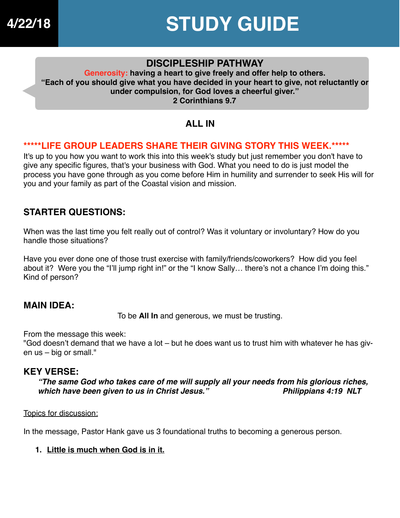## **DISCIPLESHIP PATHWAY**

**Generosity: having a heart to give freely and offer help to others. "Each of you should give what you have decided in your heart to give, not reluctantly or under compulsion, for God loves a cheerful giver." 2 Corinthians 9.7**

# **ALL IN**

## **\*\*\*\*\*LIFE GROUP LEADERS SHARE THEIR GIVING STORY THIS WEEK.\*\*\*\*\***

It's up to you how you want to work this into this week's study but just remember you don't have to give any specific figures, that's your business with God. What you need to do is just model the process you have gone through as you come before Him in humility and surrender to seek His will for you and your family as part of the Coastal vision and mission.

## **STARTER QUESTIONS:**

When was the last time you felt really out of control? Was it voluntary or involuntary? How do you handle those situations?

Have you ever done one of those trust exercise with family/friends/coworkers? How did you feel about it? Were you the "I'll jump right in!" or the "I know Sally… there's not a chance I'm doing this." Kind of person?

## **MAIN IDEA:**

To be **All In** and generous, we must be trusting.

From the message this week:

"God doesn't demand that we have a lot – but he does want us to trust him with whatever he has given us – big or small."

## **KEY VERSE:**

*"The same God who takes care of me will supply all your needs from his glorious riches, which have been given to us in Christ Jesus." Philippians 4:19 NLT*

#### Topics for discussion:

In the message, Pastor Hank gave us 3 foundational truths to becoming a generous person.

#### **1. Little is much when God is in it.**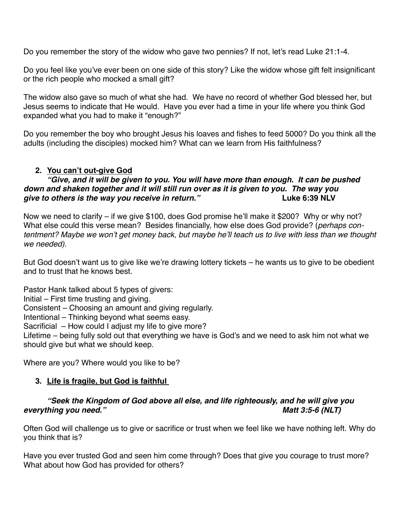Do you remember the story of the widow who gave two pennies? If not, let's read Luke 21:1-4.

Do you feel like you've ever been on one side of this story? Like the widow whose gift felt insignificant or the rich people who mocked a small gift?

The widow also gave so much of what she had. We have no record of whether God blessed her, but Jesus seems to indicate that He would. Have you ever had a time in your life where you think God expanded what you had to make it "enough?"

Do you remember the boy who brought Jesus his loaves and fishes to feed 5000? Do you think all the adults (including the disciples) mocked him? What can we learn from His faithfulness?

#### **2. You can't out-give God**

#### *"Give, and it will be given to you. You will have more than enough. It can be pushed down and shaken together and it will still run over as it is given to you. The way you give to others is the way you receive in return."* **Luke 6:39 NLV**

Now we need to clarify – if we give \$100, does God promise he'll make it \$200? Why or why not? What else could this verse mean? Besides financially, how else does God provide? (*perhaps contentment? Maybe we won't get money back, but maybe he'll teach us to live with less than we thought we needed).* 

But God doesn't want us to give like we're drawing lottery tickets – he wants us to give to be obedient and to trust that he knows best.

Pastor Hank talked about 5 types of givers:

Initial – First time trusting and giving.

Consistent – Choosing an amount and giving regularly.

Intentional – Thinking beyond what seems easy.

Sacrificial – How could I adjust my life to give more?

Lifetime – being fully sold out that everything we have is God's and we need to ask him not what we should give but what we should keep.

Where are you? Where would you like to be?

#### **3. Life is fragile, but God is faithful**

#### *"Seek the Kingdom of God above all else, and life righteously, and he will give you everything you need." Matt 3:5-6 (NLT)*

Often God will challenge us to give or sacrifice or trust when we feel like we have nothing left. Why do you think that is?

Have you ever trusted God and seen him come through? Does that give you courage to trust more? What about how God has provided for others?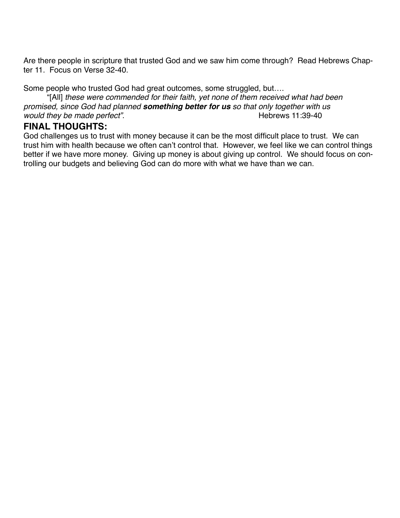Are there people in scripture that trusted God and we saw him come through? Read Hebrews Chapter 11. Focus on Verse 32-40.

Some people who trusted God had great outcomes, some struggled, but….

"[All] *these were commended for their faith, yet none of them received what had been promised, since God had planned something better for us so that only together with us would they be made perfect".* 

## **FINAL THOUGHTS:**

God challenges us to trust with money because it can be the most difficult place to trust. We can trust him with health because we often can't control that. However, we feel like we can control things better if we have more money. Giving up money is about giving up control. We should focus on controlling our budgets and believing God can do more with what we have than we can.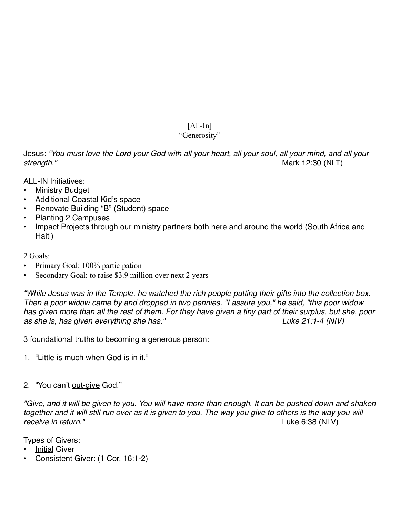# $[All-In]$

### "Generosity"

Jesus: *"You must love the Lord your God with all your heart, all your soul, all your mind, and all your strength."* Mark 12:30 (NLT)

ALL-IN Initiatives:

- **Ministry Budget**
- Additional Coastal Kid's space
- Renovate Building "B" (Student) space
- Planting 2 Campuses
- Impact Projects through our ministry partners both here and around the world (South Africa and Haiti)

2 Goals:

- Primary Goal: 100% participation
- Secondary Goal: to raise \$3.9 million over next 2 years

*"While Jesus was in the Temple, he watched the rich people putting their gifts into the collection box. Then a poor widow came by and dropped in two pennies. "I assure you," he said, "this poor widow has given more than all the rest of them. For they have given a tiny part of their surplus, but she, poor as she is, has given everything she has."* 

3 foundational truths to becoming a generous person:

- 1. "Little is much when God is in it."
- 2. "You can't out-give God."

*"Give, and it will be given to you. You will have more than enough. It can be pushed down and shaken together and it will still run over as it is given to you. The way you give to others is the way you will receive in return."* Luke 6:38 (NLV)

Types of Givers:

- **Initial Giver**
- Consistent Giver: (1 Cor. 16:1-2)